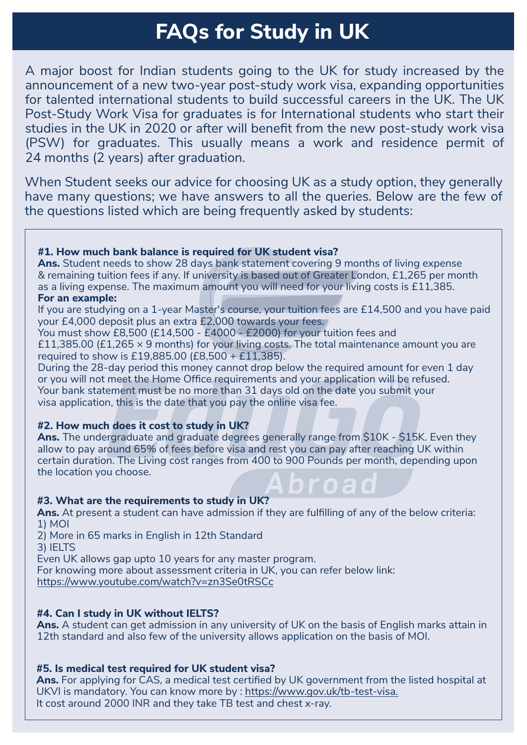# **FAQs for Study in UK**

A major boost for Indian students going to the UK for study increased by the announcement of a new two-year post-study work visa, expanding opportunities for talented international students to build successful careers in the UK. The UK Post-Study Work Visa for graduates is for International students who start their studies in the UK in 2020 or after will benefit from the new post-study work visa (PSW) for graduates. This usually means a work and residence permit of 24 months (2 years) after graduation.

When Student seeks our advice for choosing UK as a study option, they generally have many questions; we have answers to all the queries. Below are the few of the questions listed which are being frequently asked by students:

#### **#1. How much bank balance is required for UK student visa?**

**Ans.** Student needs to show 28 days bank statement covering 9 months of living expense & remaining tuition fees if any. If university is based out of Greater London, £1,265 per month as a living expense. The maximum amount you will need for your living costs is £11,385. **For an example:**

If you are studying on a 1-year Master's course, your tuition fees are £14,500 and you have paid your £4,000 deposit plus an extra £2,000 towards your fees.

You must show £8,500 (£14,500 - £4000 - £2000) for your tuition fees and

£11,385.00 (£1,265  $\times$  9 months) for your living costs. The total maintenance amount you are required to show is £19,885.00 (£8,500 + £11,385).

or you will not meet the Home Office requirements and your application will be refuse<br>Your bank statement must be no more than 31 days old on the date you submit your During the 28-day period this money cannot drop below the required amount for even 1 day or you will not meet the Home Office requirements and your application will be refused. visa application, this is the date that you pay the online visa fee.

## **#2. How much does it cost to study in UK?**

**Ans.** The undergraduate and graduate degrees generally range from \$10K - \$15K. Even they allow to pay around 65% of fees before visa and rest you can pay after reaching UK within certain duration. The Living cost ranges from 400 to 900 Pounds per month, depending upon the location you choose.

## **#3. What are the requirements to study in UK?**

**Ans.** At present a student can have admission if they are fulfilling of any of the below criteria: 1) MOI

2) More in 65 marks in English in 12th Standard

3) IELTS

Even UK allows gap upto 10 years for any master program.

For knowing more about assessment criteria in UK, you can refer below link: https://www.youtube.com/watch?v=zn3Se0tRSCc

## **#4. Can I study in UK without IELTS?**

**Ans.** A student can get admission in any university of UK on the basis of English marks attain in 12th standard and also few of the university allows application on the basis of MOI.

#### **#5. Is medical test required for UK student visa?**

**Ans.** For applying for CAS, a medical test certified by UK government from the listed hospital at UKVI is mandatory. You can know more by : https://www.gov.uk/tb-test-visa. It cost around 2000 INR and they take TB test and chest x-ray.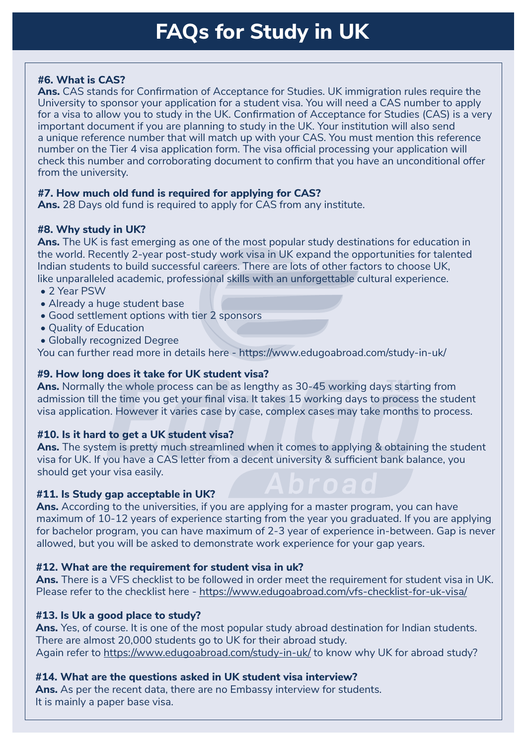# **FAQs for Study in UK**

# **#6. What is CAS?**

**Ans.** CAS stands for Confirmation of Acceptance for Studies. UK immigration rules require the University to sponsor your application for a student visa. You will need a CAS number to apply for a visa to allow you to study in the UK. Confirmation of Acceptance for Studies (CAS) is a very important document if you are planning to study in the UK. Your institution will also send a unique reference number that will match up with your CAS. You must mention this reference number on the Tier 4 visa application form. The visa official processing your application will check this number and corroborating document to confirm that you have an unconditional offer from the university.

## **#7. How much old fund is required for applying for CAS?**

**Ans.** 28 Days old fund is required to apply for CAS from any institute.

# **#8. Why study in UK?**

**Ans.** The UK is fast emerging as one of the most popular study destinations for education in the world. Recently 2-year post-study work visa in UK expand the opportunities for talented Indian students to build successful careers. There are lots of other factors to choose UK, like unparalleled academic, professional skills with an unforgettable cultural experience.

- 2 Year PSW
- Already a huge student base
- Good settlement options with tier 2 sponsors
- Quality of Education
- Globally recognized Degree

You can further read more in details here - https://www.edugoabroad.com/study-in-uk/

# **#9. How long does it take for UK student visa?**

Ans. Normally the whole process can be as lengthy as 30-45 working days starting from admission till the time you get your final visa. It takes 15 working days to process the student visa application. However it varies case by case, complex cases may take months to process.

## **#10. Is it hard to get a UK student visa?**

**Ans.** The system is pretty much streamlined when it comes to applying & obtaining the student visa for UK. If you have a CAS letter from a decent university & sufficient bank balance, you should get your visa easily.

## **#11. Is Study gap acceptable in UK?**

**Ans.** According to the universities, if you are applying for a master program, you can have maximum of 10-12 years of experience starting from the year you graduated. If you are applying for bachelor program, you can have maximum of 2-3 year of experience in-between. Gap is never allowed, but you will be asked to demonstrate work experience for your gap years.

## **#12. What are the requirement for student visa in uk?**

**Ans.** There is a VFS checklist to be followed in order meet the requirement for student visa in UK. Please refer to the checklist here - https://www.edugoabroad.com/vfs-checklist-for-uk-visa/

## **#13. Is Uk a good place to study?**

**Ans.** Yes, of course. It is one of the most popular study abroad destination for Indian students. There are almost 20,000 students go to UK for their abroad study. Again refer to https://www.edugoabroad.com/study-in-uk/ to know why UK for abroad study?

## **#14. What are the questions asked in UK student visa interview?**

**Ans.** As per the recent data, there are no Embassy interview for students. It is mainly a paper base visa.